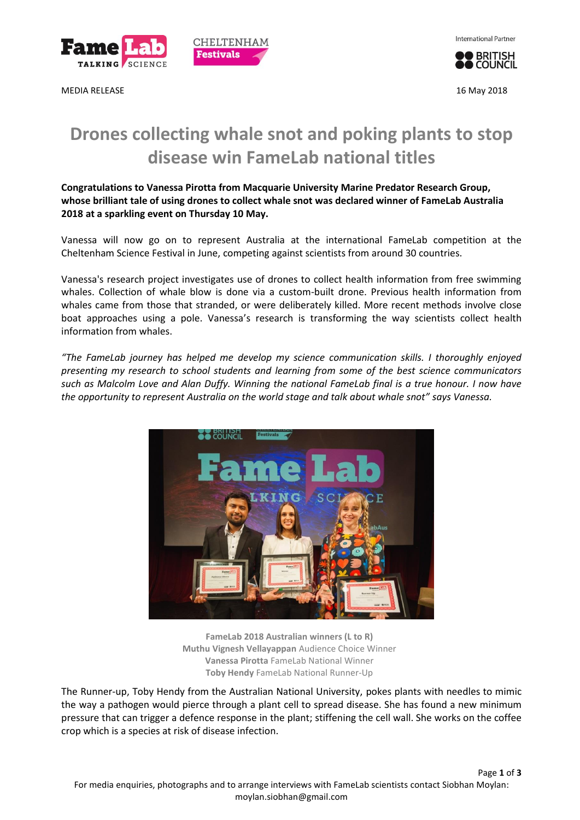

MEDIA RELEASE 16 May 2018



**O BRITISH** 

# **Drones collecting whale snot and poking plants to stop disease win FameLab national titles**

CHELTENHAM **Festivals** 

**Congratulations to Vanessa Pirotta from Macquarie University Marine Predator Research Group, whose brilliant tale of using drones to collect whale snot was declared winner of FameLab Australia 2018 at a sparkling event on Thursday 10 May.**

Vanessa will now go on to represent Australia at the international FameLab competition at the Cheltenham Science Festival in June, competing against scientists from around 30 countries.

Vanessa's research project investigates use of drones to collect health information from free swimming whales. Collection of whale blow is done via a custom-built drone. Previous health information from whales came from those that stranded, or were deliberately killed. More recent methods involve close boat approaches using a pole. Vanessa's research is transforming the way scientists collect health information from whales.

*"The FameLab journey has helped me develop my science communication skills. I thoroughly enjoyed presenting my research to school students and learning from some of the best science communicators such as Malcolm Love and Alan Duffy. Winning the national FameLab final is a true honour. I now have the opportunity to represent Australia on the world stage and talk about whale snot" says Vanessa.* 



**FameLab 2018 Australian winners (L to R) Muthu Vignesh Vellayappan** Audience Choice Winner **Vanessa Pirotta** FameLab National Winner **Toby Hendy** FameLab National Runner-Up

The Runner-up, Toby Hendy from the Australian National University, pokes plants with needles to mimic the way a pathogen would pierce through a plant cell to spread disease. She has found a new minimum pressure that can trigger a defence response in the plant; stiffening the cell wall. She works on the coffee crop which is a species at risk of disease infection.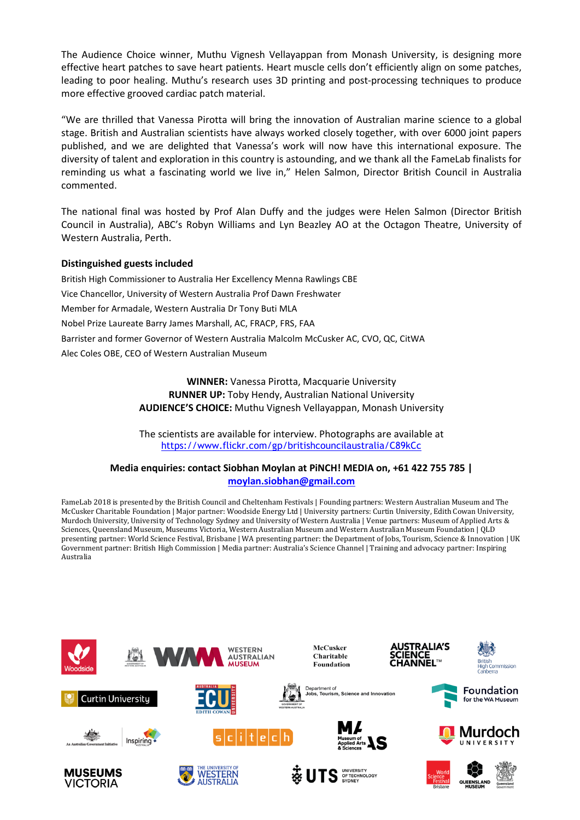The Audience Choice winner, Muthu Vignesh Vellayappan from Monash University, is designing more effective heart patches to save heart patients. Heart muscle cells don't efficiently align on some patches, leading to poor healing. Muthu's research uses 3D printing and post-processing techniques to produce more effective grooved cardiac patch material.

"We are thrilled that Vanessa Pirotta will bring the innovation of Australian marine science to a global stage. British and Australian scientists have always worked closely together, with over 6000 joint papers published, and we are delighted that Vanessa's work will now have this international exposure. The diversity of talent and exploration in this country is astounding, and we thank all the FameLab finalists for reminding us what a fascinating world we live in," Helen Salmon, Director British Council in Australia commented.

The national final was hosted by Prof Alan Duffy and the judges were Helen Salmon (Director British Council in Australia), ABC's Robyn Williams and Lyn Beazley AO at the Octagon Theatre, University of Western Australia, Perth.

## **Distinguished guests included**

British High Commissioner to Australia Her Excellency Menna Rawlings CBE Vice Chancellor, University of Western Australia Prof Dawn Freshwater Member for Armadale, Western Australia Dr Tony Buti MLA Nobel Prize Laureate Barry James Marshall, AC, FRACP, FRS, FAA Barrister and former Governor of Western Australia Malcolm McCusker AC, CVO, QC, CitWA Alec Coles OBE, CEO of Western Australian Museum

> **WINNER:** Vanessa Pirotta, Macquarie University **RUNNER UP:** Toby Hendy, Australian National University **AUDIENCE'S CHOICE:** Muthu Vignesh Vellayappan, Monash University

> The scientists are available for interview. Photographs are available at <https://www.flickr.com/gp/britishcouncilaustralia/C89kCc>

## **Media enquiries: contact Siobhan Moylan at PiNCH! MEDIA on, +61 422 755 785 | [moylan.siobhan@gmail.com](mailto:moylan.siobhan@gmail.com)**

FameLab 2018 is presented by the British Council and Cheltenham Festivals | Founding partners: Western Australian Museum and The McCusker Charitable Foundation | Major partner: Woodside Energy Ltd | University partners: Curtin University, Edith Cowan University, Murdoch University, University of Technology Sydney and University of Western Australia | Venue partners: Museum of Applied Arts & Sciences, Queensland Museum, Museums Victoria, Western Australian Museum and Western Australian Museum Foundation | QLD presenting partner: World Science Festival, Brisbane | WA presenting partner: the Department of Jobs, Tourism, Science & Innovation | UK Government partner: British High Commission | Media partner: Australia's Science Channel | Training and advocacy partner: Inspiring Australia